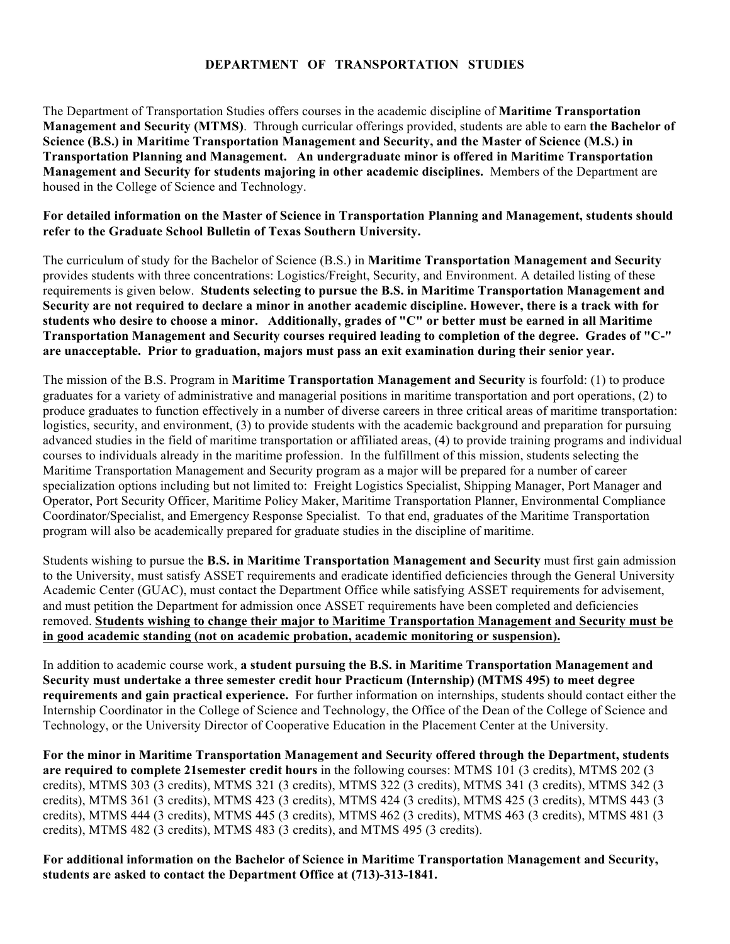## **DEPARTMENT OF TRANSPORTATION STUDIES**

The Department of Transportation Studies offers courses in the academic discipline of **Maritime Transportation Management and Security (MTMS)**. Through curricular offerings provided, students are able to earn **the Bachelor of Science (B.S.) in Maritime Transportation Management and Security, and the Master of Science (M.S.) in Transportation Planning and Management. An undergraduate minor is offered in Maritime Transportation Management and Security for students majoring in other academic disciplines.** Members of the Department are housed in the College of Science and Technology.

### **For detailed information on the Master of Science in Transportation Planning and Management, students should refer to the Graduate School Bulletin of Texas Southern University.**

The curriculum of study for the Bachelor of Science (B.S.) in **Maritime Transportation Management and Security** provides students with three concentrations: Logistics/Freight, Security, and Environment. A detailed listing of these requirements is given below. **Students selecting to pursue the B.S. in Maritime Transportation Management and Security are not required to declare a minor in another academic discipline. However, there is a track with for students who desire to choose a minor. Additionally, grades of "C" or better must be earned in all Maritime Transportation Management and Security courses required leading to completion of the degree. Grades of "C-" are unacceptable. Prior to graduation, majors must pass an exit examination during their senior year.**

The mission of the B.S. Program in **Maritime Transportation Management and Security** is fourfold: (1) to produce graduates for a variety of administrative and managerial positions in maritime transportation and port operations, (2) to produce graduates to function effectively in a number of diverse careers in three critical areas of maritime transportation: logistics, security, and environment, (3) to provide students with the academic background and preparation for pursuing advanced studies in the field of maritime transportation or affiliated areas, (4) to provide training programs and individual courses to individuals already in the maritime profession. In the fulfillment of this mission, students selecting the Maritime Transportation Management and Security program as a major will be prepared for a number of career specialization options including but not limited to: Freight Logistics Specialist, Shipping Manager, Port Manager and Operator, Port Security Officer, Maritime Policy Maker, Maritime Transportation Planner, Environmental Compliance Coordinator/Specialist, and Emergency Response Specialist. To that end, graduates of the Maritime Transportation program will also be academically prepared for graduate studies in the discipline of maritime.

Students wishing to pursue the **B.S. in Maritime Transportation Management and Security** must first gain admission to the University, must satisfy ASSET requirements and eradicate identified deficiencies through the General University Academic Center (GUAC), must contact the Department Office while satisfying ASSET requirements for advisement, and must petition the Department for admission once ASSET requirements have been completed and deficiencies removed. **Students wishing to change their major to Maritime Transportation Management and Security must be in good academic standing (not on academic probation, academic monitoring or suspension).**

In addition to academic course work, **a student pursuing the B.S. in Maritime Transportation Management and Security must undertake a three semester credit hour Practicum (Internship) (MTMS 495) to meet degree requirements and gain practical experience.** For further information on internships, students should contact either the Internship Coordinator in the College of Science and Technology, the Office of the Dean of the College of Science and Technology, or the University Director of Cooperative Education in the Placement Center at the University.

**For the minor in Maritime Transportation Management and Security offered through the Department, students are required to complete 21semester credit hours** in the following courses: MTMS 101 (3 credits), MTMS 202 (3 credits), MTMS 303 (3 credits), MTMS 321 (3 credits), MTMS 322 (3 credits), MTMS 341 (3 credits), MTMS 342 (3 credits), MTMS 361 (3 credits), MTMS 423 (3 credits), MTMS 424 (3 credits), MTMS 425 (3 credits), MTMS 443 (3 credits), MTMS 444 (3 credits), MTMS 445 (3 credits), MTMS 462 (3 credits), MTMS 463 (3 credits), MTMS 481 (3 credits), MTMS 482 (3 credits), MTMS 483 (3 credits), and MTMS 495 (3 credits).

**For additional information on the Bachelor of Science in Maritime Transportation Management and Security, students are asked to contact the Department Office at (713)-313-1841.**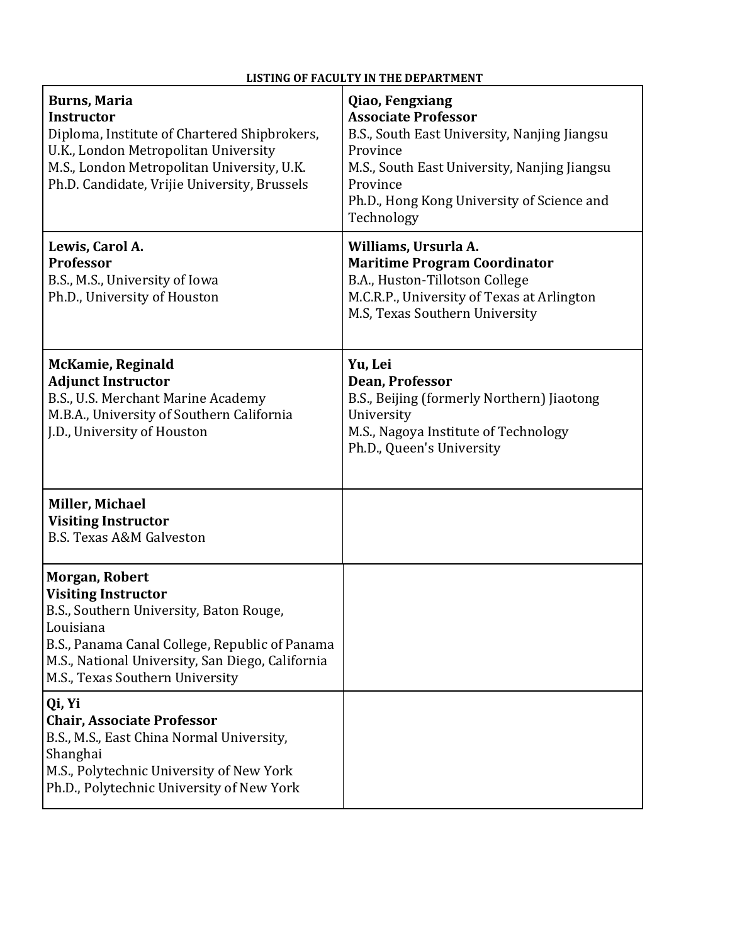# **LISTING OF FACULTY IN THE DEPARTMENT**

| <b>Burns, Maria</b><br><b>Instructor</b><br>Diploma, Institute of Chartered Shipbrokers,<br>U.K., London Metropolitan University<br>M.S., London Metropolitan University, U.K.<br>Ph.D. Candidate, Vrijie University, Brussels                | Qiao, Fengxiang<br><b>Associate Professor</b><br>B.S., South East University, Nanjing Jiangsu<br>Province<br>M.S., South East University, Nanjing Jiangsu<br>Province<br>Ph.D., Hong Kong University of Science and<br>Technology |
|-----------------------------------------------------------------------------------------------------------------------------------------------------------------------------------------------------------------------------------------------|-----------------------------------------------------------------------------------------------------------------------------------------------------------------------------------------------------------------------------------|
| Lewis, Carol A.<br><b>Professor</b><br>B.S., M.S., University of Iowa<br>Ph.D., University of Houston                                                                                                                                         | Williams, Ursurla A.<br><b>Maritime Program Coordinator</b><br>B.A., Huston-Tillotson College<br>M.C.R.P., University of Texas at Arlington<br>M.S, Texas Southern University                                                     |
| McKamie, Reginald<br><b>Adjunct Instructor</b><br>B.S., U.S. Merchant Marine Academy<br>M.B.A., University of Southern California<br>J.D., University of Houston                                                                              | Yu, Lei<br>Dean, Professor<br>B.S., Beijing (formerly Northern) Jiaotong<br>University<br>M.S., Nagoya Institute of Technology<br>Ph.D., Queen's University                                                                       |
| Miller, Michael<br><b>Visiting Instructor</b><br><b>B.S. Texas A&amp;M Galveston</b>                                                                                                                                                          |                                                                                                                                                                                                                                   |
| Morgan, Robert<br><b>Visiting Instructor</b><br>B.S., Southern University, Baton Rouge,<br>Louisiana<br>B.S., Panama Canal College, Republic of Panama<br>M.S., National University, San Diego, California<br>M.S., Texas Southern University |                                                                                                                                                                                                                                   |
| Qi, Yi<br><b>Chair, Associate Professor</b><br>B.S., M.S., East China Normal University,<br>Shanghai<br>M.S., Polytechnic University of New York<br>Ph.D., Polytechnic University of New York                                                 |                                                                                                                                                                                                                                   |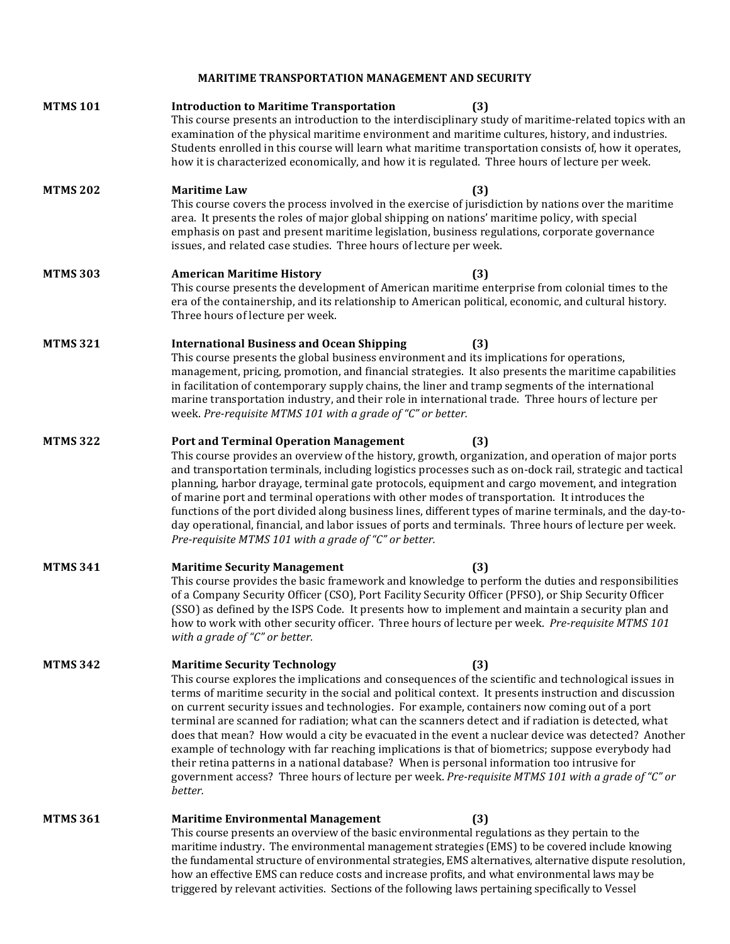**MARITIME TRANSPORTATION MANAGEMENT AND SECURITY** 

| <b>MTMS 101</b> | <b>Introduction to Maritime Transportation</b><br>(3)<br>This course presents an introduction to the interdisciplinary study of maritime-related topics with an<br>examination of the physical maritime environment and maritime cultures, history, and industries.<br>Students enrolled in this course will learn what maritime transportation consists of, how it operates,<br>how it is characterized economically, and how it is regulated. Three hours of lecture per week.                                                                                                                                                                                                                                                                                                                                                                                                               |
|-----------------|------------------------------------------------------------------------------------------------------------------------------------------------------------------------------------------------------------------------------------------------------------------------------------------------------------------------------------------------------------------------------------------------------------------------------------------------------------------------------------------------------------------------------------------------------------------------------------------------------------------------------------------------------------------------------------------------------------------------------------------------------------------------------------------------------------------------------------------------------------------------------------------------|
| <b>MTMS 202</b> | <b>Maritime Law</b><br>(3)<br>This course covers the process involved in the exercise of jurisdiction by nations over the maritime<br>area. It presents the roles of major global shipping on nations' maritime policy, with special<br>emphasis on past and present maritime legislation, business regulations, corporate governance<br>issues, and related case studies. Three hours of lecture per week.                                                                                                                                                                                                                                                                                                                                                                                                                                                                                    |
| <b>MTMS 303</b> | <b>American Maritime History</b><br>(3)<br>This course presents the development of American maritime enterprise from colonial times to the<br>era of the containership, and its relationship to American political, economic, and cultural history.<br>Three hours of lecture per week.                                                                                                                                                                                                                                                                                                                                                                                                                                                                                                                                                                                                        |
| <b>MTMS 321</b> | <b>International Business and Ocean Shipping</b><br>(3)<br>This course presents the global business environment and its implications for operations,<br>management, pricing, promotion, and financial strategies. It also presents the maritime capabilities<br>in facilitation of contemporary supply chains, the liner and tramp segments of the international<br>marine transportation industry, and their role in international trade. Three hours of lecture per<br>week. Pre-requisite MTMS 101 with a grade of "C" or better.                                                                                                                                                                                                                                                                                                                                                           |
| <b>MTMS 322</b> | <b>Port and Terminal Operation Management</b><br>(3)<br>This course provides an overview of the history, growth, organization, and operation of major ports<br>and transportation terminals, including logistics processes such as on-dock rail, strategic and tactical<br>planning, harbor drayage, terminal gate protocols, equipment and cargo movement, and integration<br>of marine port and terminal operations with other modes of transportation. It introduces the<br>functions of the port divided along business lines, different types of marine terminals, and the day-to-<br>day operational, financial, and labor issues of ports and terminals. Three hours of lecture per week.<br>Pre-requisite MTMS 101 with a grade of "C" or better.                                                                                                                                      |
| <b>MTMS 341</b> | <b>Maritime Security Management</b><br>(3)<br>This course provides the basic framework and knowledge to perform the duties and responsibilities<br>of a Company Security Officer (CSO), Port Facility Security Officer (PFSO), or Ship Security Officer<br>(SSO) as defined by the ISPS Code. It presents how to implement and maintain a security plan and<br>how to work with other security officer. Three hours of lecture per week. Pre-requisite MTMS 101<br>with a grade of "C" or better.                                                                                                                                                                                                                                                                                                                                                                                              |
| <b>MTMS 342</b> | <b>Maritime Security Technology</b><br>(3)<br>This course explores the implications and consequences of the scientific and technological issues in<br>terms of maritime security in the social and political context. It presents instruction and discussion<br>on current security issues and technologies. For example, containers now coming out of a port<br>terminal are scanned for radiation; what can the scanners detect and if radiation is detected, what<br>does that mean? How would a city be evacuated in the event a nuclear device was detected? Another<br>example of technology with far reaching implications is that of biometrics; suppose everybody had<br>their retina patterns in a national database? When is personal information too intrusive for<br>government access? Three hours of lecture per week. Pre-requisite MTMS 101 with a grade of "C" or<br>better. |
| <b>MTMS 361</b> | <b>Maritime Environmental Management</b><br>(3)<br>This course presents an overview of the basic environmental regulations as they pertain to the<br>maritime industry. The environmental management strategies (EMS) to be covered include knowing<br>the fundamental structure of environmental strategies, EMS alternatives, alternative dispute resolution,<br>how an effective EMS can reduce costs and increase profits, and what environmental laws may be<br>triggered by relevant activities. Sections of the following laws pertaining specifically to Vessel                                                                                                                                                                                                                                                                                                                        |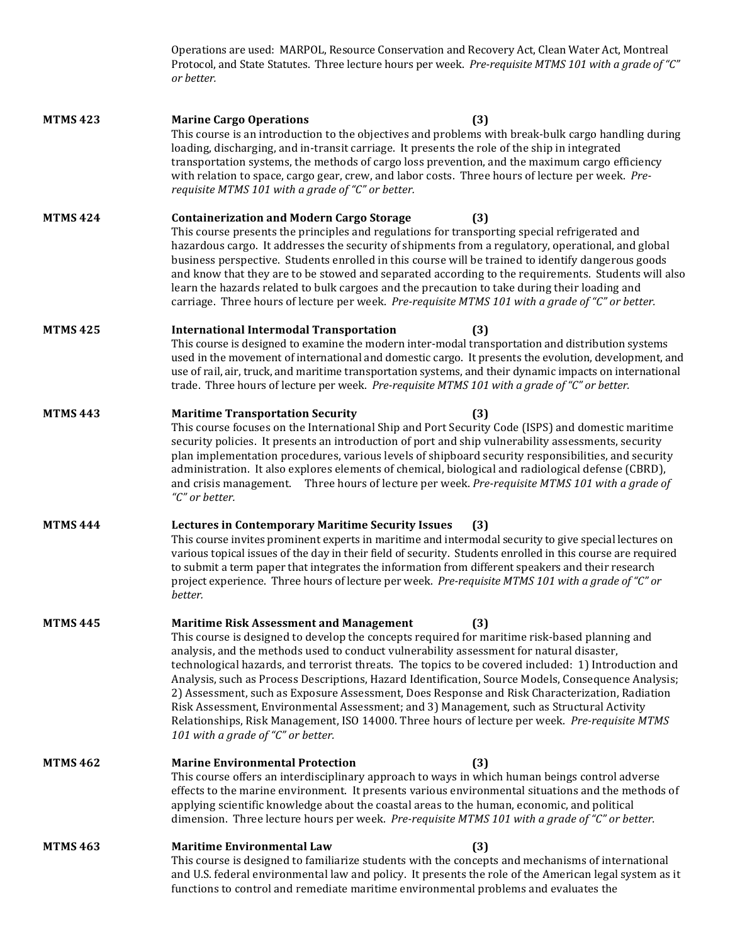|                 | Operations are used: MARPOL, Resource Conservation and Recovery Act, Clean Water Act, Montreal<br>Protocol, and State Statutes. Three lecture hours per week. Pre-requisite MTMS 101 with a grade of "C"<br>or better.                                                                                                                                                                                                                                                                                                                                                                                                                                                                                                                                                                                   |
|-----------------|----------------------------------------------------------------------------------------------------------------------------------------------------------------------------------------------------------------------------------------------------------------------------------------------------------------------------------------------------------------------------------------------------------------------------------------------------------------------------------------------------------------------------------------------------------------------------------------------------------------------------------------------------------------------------------------------------------------------------------------------------------------------------------------------------------|
| <b>MTMS 423</b> | <b>Marine Cargo Operations</b><br>(3)<br>This course is an introduction to the objectives and problems with break-bulk cargo handling during<br>loading, discharging, and in-transit carriage. It presents the role of the ship in integrated<br>transportation systems, the methods of cargo loss prevention, and the maximum cargo efficiency<br>with relation to space, cargo gear, crew, and labor costs. Three hours of lecture per week. Pre-<br>requisite MTMS 101 with a grade of "C" or better.                                                                                                                                                                                                                                                                                                 |
| <b>MTMS 424</b> | <b>Containerization and Modern Cargo Storage</b><br>(3)<br>This course presents the principles and regulations for transporting special refrigerated and<br>hazardous cargo. It addresses the security of shipments from a regulatory, operational, and global<br>business perspective. Students enrolled in this course will be trained to identify dangerous goods<br>and know that they are to be stowed and separated according to the requirements. Students will also<br>learn the hazards related to bulk cargoes and the precaution to take during their loading and<br>carriage. Three hours of lecture per week. Pre-requisite MTMS 101 with a grade of "C" or better.                                                                                                                         |
| <b>MTMS 425</b> | <b>International Intermodal Transportation</b><br>(3)<br>This course is designed to examine the modern inter-modal transportation and distribution systems<br>used in the movement of international and domestic cargo. It presents the evolution, development, and<br>use of rail, air, truck, and maritime transportation systems, and their dynamic impacts on international<br>trade. Three hours of lecture per week. Pre-requisite MTMS 101 with a grade of "C" or better.                                                                                                                                                                                                                                                                                                                         |
| <b>MTMS 443</b> | <b>Maritime Transportation Security</b><br>(3)<br>This course focuses on the International Ship and Port Security Code (ISPS) and domestic maritime<br>security policies. It presents an introduction of port and ship vulnerability assessments, security<br>plan implementation procedures, various levels of shipboard security responsibilities, and security<br>administration. It also explores elements of chemical, biological and radiological defense (CBRD),<br>and crisis management. Three hours of lecture per week. Pre-requisite MTMS 101 with a grade of<br>"C" or better.                                                                                                                                                                                                              |
| <b>MTMS 444</b> | <b>Lectures in Contemporary Maritime Security Issues</b><br>(3)<br>This course invites prominent experts in maritime and intermodal security to give special lectures on<br>various topical issues of the day in their field of security. Students enrolled in this course are required<br>to submit a term paper that integrates the information from different speakers and their research<br>project experience. Three hours of lecture per week. Pre-requisite MTMS 101 with a grade of "C" or<br>better.                                                                                                                                                                                                                                                                                            |
| <b>MTMS445</b>  | <b>Maritime Risk Assessment and Management</b><br>(3)<br>This course is designed to develop the concepts required for maritime risk-based planning and<br>analysis, and the methods used to conduct vulnerability assessment for natural disaster,<br>technological hazards, and terrorist threats. The topics to be covered included: 1) Introduction and<br>Analysis, such as Process Descriptions, Hazard Identification, Source Models, Consequence Analysis;<br>2) Assessment, such as Exposure Assessment, Does Response and Risk Characterization, Radiation<br>Risk Assessment, Environmental Assessment; and 3) Management, such as Structural Activity<br>Relationships, Risk Management, ISO 14000. Three hours of lecture per week. Pre-requisite MTMS<br>101 with a grade of "C" or better. |
| <b>MTMS 462</b> | <b>Marine Environmental Protection</b><br>(3)<br>This course offers an interdisciplinary approach to ways in which human beings control adverse<br>effects to the marine environment. It presents various environmental situations and the methods of<br>applying scientific knowledge about the coastal areas to the human, economic, and political<br>dimension. Three lecture hours per week. Pre-requisite MTMS 101 with a grade of "C" or better.                                                                                                                                                                                                                                                                                                                                                   |
| <b>MTMS 463</b> | <b>Maritime Environmental Law</b><br>(3)<br>This course is designed to familiarize students with the concepts and mechanisms of international<br>and U.S. federal environmental law and policy. It presents the role of the American legal system as it<br>functions to control and remediate maritime environmental problems and evaluates the                                                                                                                                                                                                                                                                                                                                                                                                                                                          |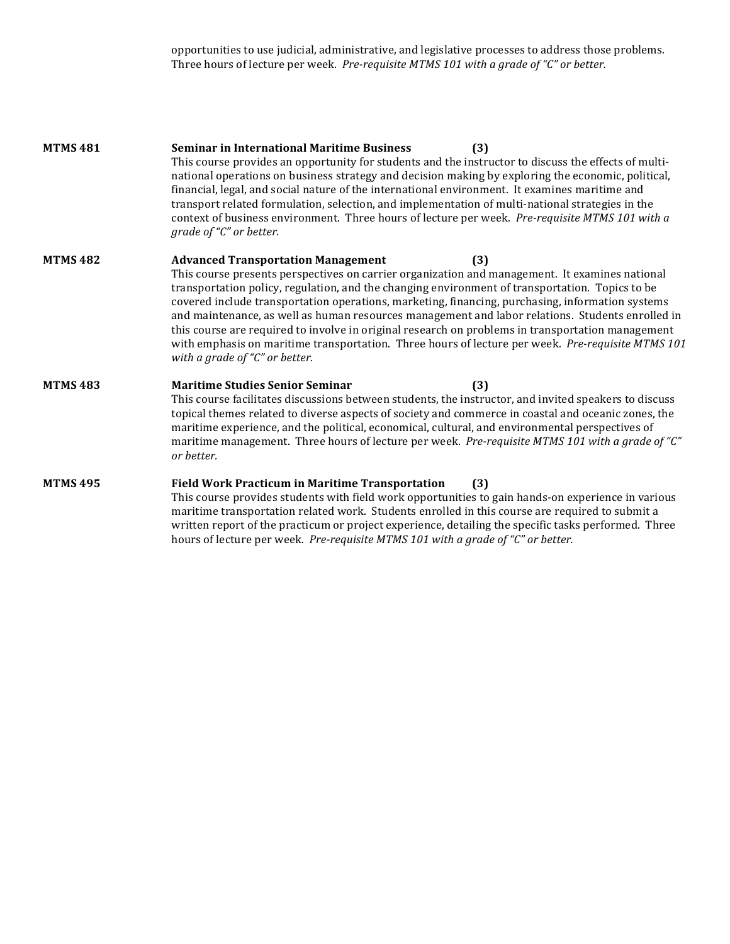opportunities to use judicial, administrative, and legislative processes to address those problems. Three hours of lecture per week. *Pre-requisite MTMS 101 with a grade of "C" or better.* 

| <b>MTMS481</b>  | <b>Seminar in International Maritime Business</b><br>(3)<br>This course provides an opportunity for students and the instructor to discuss the effects of multi-<br>national operations on business strategy and decision making by exploring the economic, political,<br>financial, legal, and social nature of the international environment. It examines maritime and<br>transport related formulation, selection, and implementation of multi-national strategies in the<br>context of business environment. Three hours of lecture per week. Pre-requisite MTMS 101 with a<br>grade of "C" or better.                                                                                                |
|-----------------|-----------------------------------------------------------------------------------------------------------------------------------------------------------------------------------------------------------------------------------------------------------------------------------------------------------------------------------------------------------------------------------------------------------------------------------------------------------------------------------------------------------------------------------------------------------------------------------------------------------------------------------------------------------------------------------------------------------|
| <b>MTMS482</b>  | <b>Advanced Transportation Management</b><br>(3)<br>This course presents perspectives on carrier organization and management. It examines national<br>transportation policy, regulation, and the changing environment of transportation. Topics to be<br>covered include transportation operations, marketing, financing, purchasing, information systems<br>and maintenance, as well as human resources management and labor relations. Students enrolled in<br>this course are required to involve in original research on problems in transportation management<br>with emphasis on maritime transportation. Three hours of lecture per week. Pre-requisite MTMS 101<br>with a grade of "C" or better. |
| <b>MTMS 483</b> | <b>Maritime Studies Senior Seminar</b><br>(3)<br>This course facilitates discussions between students, the instructor, and invited speakers to discuss<br>topical themes related to diverse aspects of society and commerce in coastal and oceanic zones, the<br>maritime experience, and the political, economical, cultural, and environmental perspectives of<br>maritime management. Three hours of lecture per week. Pre-requisite MTMS 101 with a grade of "C"<br>or better.                                                                                                                                                                                                                        |
| <b>MTMS 495</b> | <b>Field Work Practicum in Maritime Transportation</b><br>(3)<br>This course provides students with field work opportunities to gain hands-on experience in various<br>maritime transportation related work. Students enrolled in this course are required to submit a<br>written report of the practicum or project experience, detailing the specific tasks performed. Three<br>hours of lecture per week. Pre-requisite MTMS 101 with a grade of "C" or better.                                                                                                                                                                                                                                        |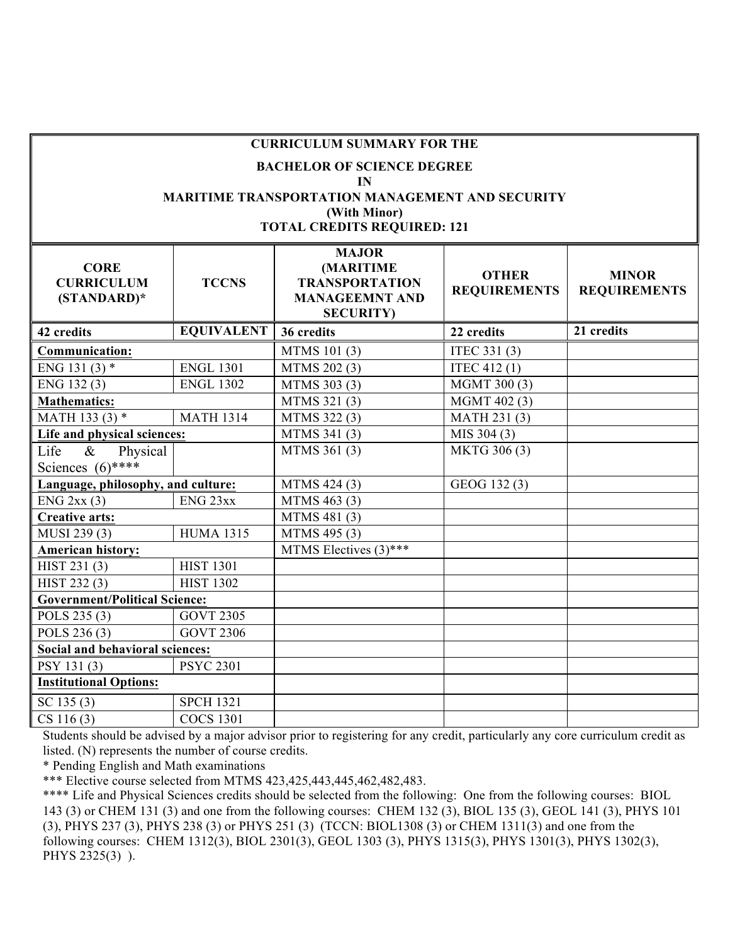| <b>CURRICULUM SUMMARY FOR THE</b>                 |                                                                                                                                                         |                                                                                                         |                                     |                                     |  |  |  |
|---------------------------------------------------|---------------------------------------------------------------------------------------------------------------------------------------------------------|---------------------------------------------------------------------------------------------------------|-------------------------------------|-------------------------------------|--|--|--|
|                                                   | <b>BACHELOR OF SCIENCE DEGREE</b><br>IN<br><b>MARITIME TRANSPORTATION MANAGEMENT AND SECURITY</b><br>(With Minor)<br><b>TOTAL CREDITS REQUIRED: 121</b> |                                                                                                         |                                     |                                     |  |  |  |
| <b>CORE</b><br><b>CURRICULUM</b><br>$(STANDARD)*$ | <b>TCCNS</b>                                                                                                                                            | <b>MAJOR</b><br><b>(MARITIME</b><br><b>TRANSPORTATION</b><br><b>MANAGEEMNT AND</b><br><b>SECURITY</b> ) | <b>OTHER</b><br><b>REQUIREMENTS</b> | <b>MINOR</b><br><b>REQUIREMENTS</b> |  |  |  |
| 42 credits                                        | <b>EQUIVALENT</b>                                                                                                                                       | 36 credits                                                                                              | 22 credits                          | 21 credits                          |  |  |  |
| <b>Communication:</b>                             |                                                                                                                                                         | MTMS 101 (3)                                                                                            | ITEC 331 (3)                        |                                     |  |  |  |
| ENG 131 $(3)$ *                                   | <b>ENGL 1301</b>                                                                                                                                        | MTMS 202 (3)                                                                                            | ITEC 412 (1)                        |                                     |  |  |  |
| ENG 132(3)<br><b>ENGL 1302</b>                    |                                                                                                                                                         | MTMS 303 (3)                                                                                            | MGMT 300 (3)                        |                                     |  |  |  |
| <b>Mathematics:</b>                               |                                                                                                                                                         | MTMS 321 (3)                                                                                            | MGMT 402 (3)                        |                                     |  |  |  |
| MATH 133 (3) *<br><b>MATH 1314</b>                |                                                                                                                                                         | MTMS 322 (3)                                                                                            | MATH 231 (3)                        |                                     |  |  |  |
| Life and physical sciences:                       |                                                                                                                                                         | MTMS 341 (3)                                                                                            | MIS 304 (3)                         |                                     |  |  |  |
| Life<br>$\&$<br>Physical                          |                                                                                                                                                         | MTMS 361 (3)                                                                                            | MKTG 306 (3)                        |                                     |  |  |  |
| Sciences $(6)$ ****                               |                                                                                                                                                         |                                                                                                         |                                     |                                     |  |  |  |
| Language, philosophy, and culture:                |                                                                                                                                                         | MTMS 424 (3)                                                                                            | GEOG 132(3)                         |                                     |  |  |  |
| $ENG$ 2xx (3)                                     | ENG <sub>23xx</sub>                                                                                                                                     | MTMS 463 (3)                                                                                            |                                     |                                     |  |  |  |
| <b>Creative arts:</b>                             |                                                                                                                                                         | MTMS 481 (3)                                                                                            |                                     |                                     |  |  |  |
| MUSI 239 (3)                                      | <b>HUMA 1315</b>                                                                                                                                        | MTMS 495 (3)                                                                                            |                                     |                                     |  |  |  |
| <b>American history:</b>                          |                                                                                                                                                         | MTMS Electives $(3)$ ***                                                                                |                                     |                                     |  |  |  |
| HIST 231 (3)                                      | <b>HIST 1301</b>                                                                                                                                        |                                                                                                         |                                     |                                     |  |  |  |
| HIST 232 (3)                                      | <b>HIST 1302</b>                                                                                                                                        |                                                                                                         |                                     |                                     |  |  |  |
| <b>Government/Political Science:</b>              |                                                                                                                                                         |                                                                                                         |                                     |                                     |  |  |  |
| POLS 235 (3)                                      | <b>GOVT 2305</b>                                                                                                                                        |                                                                                                         |                                     |                                     |  |  |  |
| POLS 236 (3)                                      | <b>GOVT 2306</b>                                                                                                                                        |                                                                                                         |                                     |                                     |  |  |  |
| <b>Social and behavioral sciences:</b>            |                                                                                                                                                         |                                                                                                         |                                     |                                     |  |  |  |
| PSY 131(3)                                        | <b>PSYC 2301</b>                                                                                                                                        |                                                                                                         |                                     |                                     |  |  |  |
| <b>Institutional Options:</b>                     |                                                                                                                                                         |                                                                                                         |                                     |                                     |  |  |  |
| SC 135(3)                                         | <b>SPCH 1321</b>                                                                                                                                        |                                                                                                         |                                     |                                     |  |  |  |
| CS 116(3)                                         | <b>COCS 1301</b>                                                                                                                                        |                                                                                                         |                                     |                                     |  |  |  |

Students should be advised by a major advisor prior to registering for any credit, particularly any core curriculum credit as listed. (N) represents the number of course credits.

\* Pending English and Math examinations

\*\*\* Elective course selected from MTMS 423,425,443,445,462,482,483.

\*\*\*\* Life and Physical Sciences credits should be selected from the following: One from the following courses: BIOL 143 (3) or CHEM 131 (3) and one from the following courses: CHEM 132 (3), BIOL 135 (3), GEOL 141 (3), PHYS 101 (3), PHYS 237 (3), PHYS 238 (3) or PHYS 251 (3) (TCCN: BIOL1308 (3) or CHEM 1311(3) and one from the following courses: CHEM 1312(3), BIOL 2301(3), GEOL 1303 (3), PHYS 1315(3), PHYS 1301(3), PHYS 1302(3), PHYS 2325(3) ).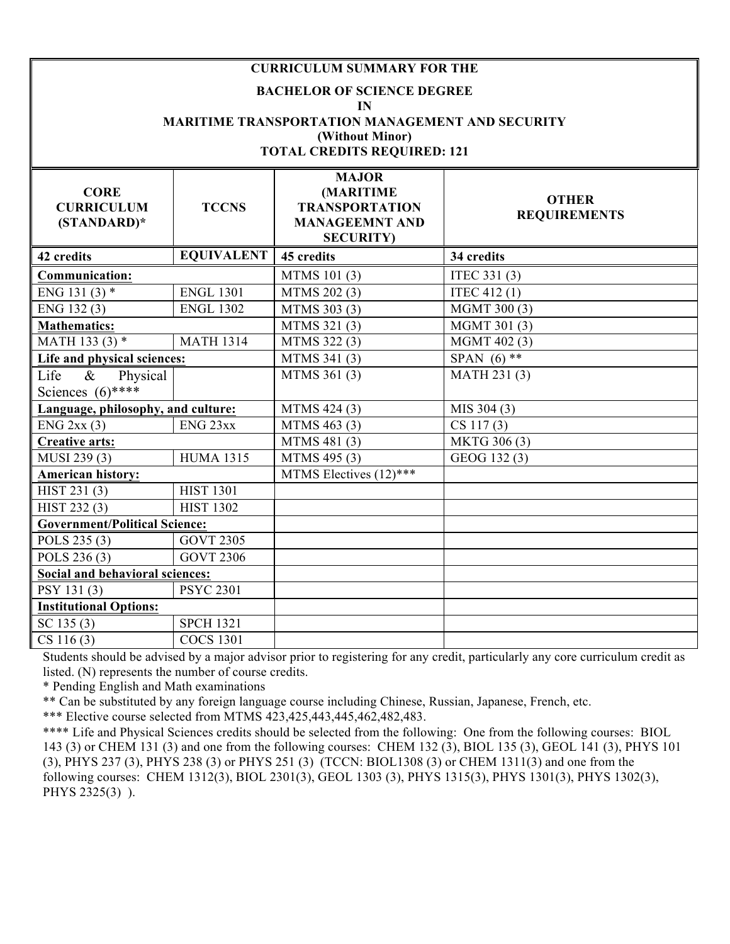|                                                 |                     | <b>CURRICULUM SUMMARY FOR THE</b><br><b>BACHELOR OF SCIENCE DEGREE</b><br>IN<br><b>MARITIME TRANSPORTATION MANAGEMENT AND SECURITY</b><br>(Without Minor)<br><b>TOTAL CREDITS REQUIRED: 121</b> |                                     |
|-------------------------------------------------|---------------------|-------------------------------------------------------------------------------------------------------------------------------------------------------------------------------------------------|-------------------------------------|
| <b>CORE</b><br><b>CURRICULUM</b><br>(STANDARD)* | <b>TCCNS</b>        | <b>MAJOR</b><br>(MARITIME<br><b>TRANSPORTATION</b><br><b>MANAGEEMNT AND</b><br><b>SECURITY</b> )                                                                                                | <b>OTHER</b><br><b>REQUIREMENTS</b> |
| 42 credits                                      | <b>EQUIVALENT</b>   | 45 credits                                                                                                                                                                                      | 34 credits                          |
| Communication:                                  |                     | MTMS 101 (3)                                                                                                                                                                                    | ITEC 331 (3)                        |
| ENG 131 $(3)$ *                                 | <b>ENGL 1301</b>    | MTMS 202 (3)                                                                                                                                                                                    | ITEC 412 (1)                        |
| ENG 132(3)                                      | <b>ENGL 1302</b>    | MTMS 303 (3)                                                                                                                                                                                    | MGMT 300 (3)                        |
| <b>Mathematics:</b>                             |                     | MTMS 321(3)                                                                                                                                                                                     | MGMT 301 (3)                        |
| MATH 133 (3) *                                  | <b>MATH 1314</b>    | MTMS 322 (3)                                                                                                                                                                                    | MGMT 402 (3)                        |
| Life and physical sciences:                     |                     | MTMS 341 (3)                                                                                                                                                                                    | SPAN $(6)$ **                       |
| Life<br>$\&$<br>Physical<br>Sciences $(6)$ **** |                     | MTMS 361 (3)                                                                                                                                                                                    | MATH 231 (3)                        |
| Language, philosophy, and culture:              |                     | MTMS 424 (3)                                                                                                                                                                                    | MIS 304 (3)                         |
| $ENG$ 2xx (3)                                   | ENG <sub>23xx</sub> | MTMS 463 (3)                                                                                                                                                                                    | CS 117(3)                           |
| <b>Creative arts:</b>                           |                     | MTMS 481 (3)                                                                                                                                                                                    | MKTG 306 (3)                        |
| MUSI 239 (3)                                    | <b>HUMA 1315</b>    | MTMS 495 (3)                                                                                                                                                                                    | GEOG 132(3)                         |
| <b>American history:</b>                        |                     | MTMS Electives (12)***                                                                                                                                                                          |                                     |
| $\overline{HIST}$ 231 $(3)$                     | <b>HIST 1301</b>    |                                                                                                                                                                                                 |                                     |
| HIST 232 (3)                                    | <b>HIST 1302</b>    |                                                                                                                                                                                                 |                                     |
| <b>Government/Political Science:</b>            |                     |                                                                                                                                                                                                 |                                     |
| POLS 235 (3)                                    | <b>GOVT 2305</b>    |                                                                                                                                                                                                 |                                     |
| POLS 236 (3)                                    | <b>GOVT 2306</b>    |                                                                                                                                                                                                 |                                     |
| Social and behavioral sciences:                 |                     |                                                                                                                                                                                                 |                                     |
| PSY 131(3)                                      | <b>PSYC 2301</b>    |                                                                                                                                                                                                 |                                     |
| <b>Institutional Options:</b>                   |                     |                                                                                                                                                                                                 |                                     |
| SC 135(3)                                       | <b>SPCH 1321</b>    |                                                                                                                                                                                                 |                                     |
| CS 116(3)                                       | <b>COCS 1301</b>    |                                                                                                                                                                                                 |                                     |

Students should be advised by a major advisor prior to registering for any credit, particularly any core curriculum credit as listed. (N) represents the number of course credits.

\* Pending English and Math examinations

\*\* Can be substituted by any foreign language course including Chinese, Russian, Japanese, French, etc.

\*\*\* Elective course selected from MTMS 423,425,443,445,462,482,483.

\*\*\*\* Life and Physical Sciences credits should be selected from the following: One from the following courses: BIOL 143 (3) or CHEM 131 (3) and one from the following courses: CHEM 132 (3), BIOL 135 (3), GEOL 141 (3), PHYS 101 (3), PHYS 237 (3), PHYS 238 (3) or PHYS 251 (3) (TCCN: BIOL1308 (3) or CHEM 1311(3) and one from the following courses: CHEM 1312(3), BIOL 2301(3), GEOL 1303 (3), PHYS 1315(3), PHYS 1301(3), PHYS 1302(3), PHYS 2325(3) ).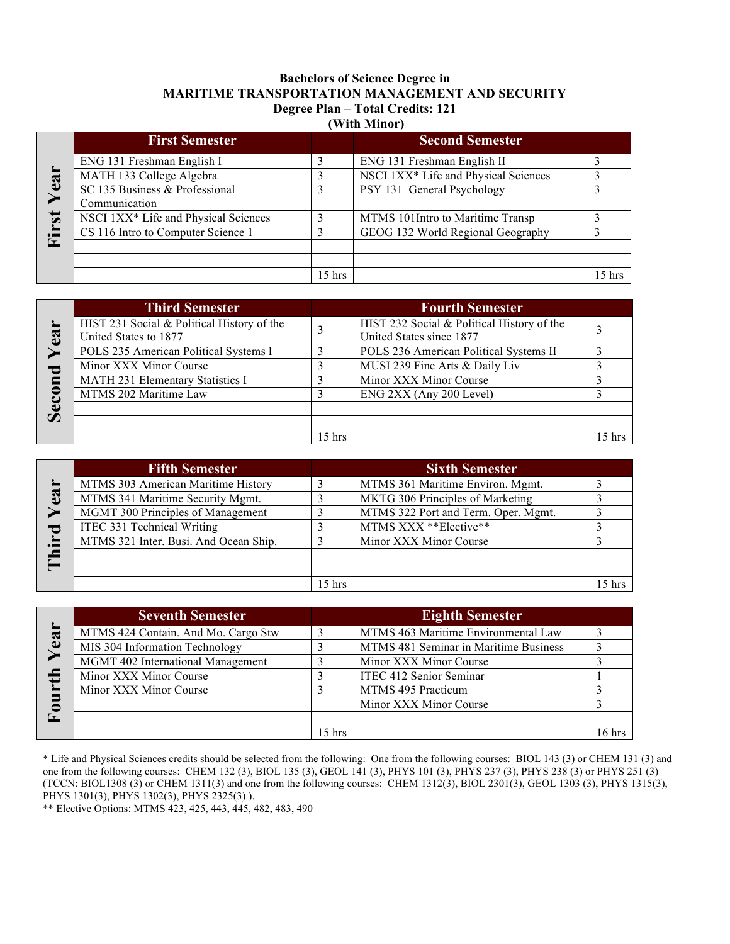# **Bachelors of Science Degree in MARITIME TRANSPORTATION MANAGEMENT AND SECURITY Degree Plan – Total Credits: 121**

| (With Minor) |
|--------------|
|--------------|

|                         | <b>First Semester</b>                |          | <b>Second Semester</b>               |          |
|-------------------------|--------------------------------------|----------|--------------------------------------|----------|
|                         | ENG 131 Freshman English I           |          | ENG 131 Freshman English II          |          |
| ear                     | MATH 133 College Algebra             |          | NSCI 1XX* Life and Physical Sciences |          |
|                         | SC 135 Business & Professional       |          | PSY 131 General Psychology           |          |
|                         | Communication                        |          |                                      |          |
| $\overline{\mathbf{s}}$ | NSCI 1XX* Life and Physical Sciences |          | MTMS 101 Intro to Maritime Transp    |          |
| i.                      | CS 116 Intro to Computer Science 1   |          | GEOG 132 World Regional Geography    |          |
| L.                      |                                      |          |                                      |          |
|                         |                                      |          |                                      |          |
|                         |                                      | $15$ hrs |                                      | $15$ hrs |

|              | <b>Third Semester</b>                      |          | <b>Fourth Semester</b>                     |        |
|--------------|--------------------------------------------|----------|--------------------------------------------|--------|
|              | HIST 231 Social & Political History of the |          | HIST 232 Social & Political History of the |        |
| $\mathbf{e}$ | United States to 1877                      |          | United States since 1877                   |        |
|              | POLS 235 American Political Systems I      |          | POLS 236 American Political Systems II     |        |
|              | Minor XXX Minor Course                     |          | MUSI 239 Fine Arts & Daily Liv             |        |
| $\mathbf{u}$ | MATH 231 Elementary Statistics I           |          | Minor XXX Minor Course                     |        |
|              | MTMS 202 Maritime Law                      |          | ENG 2XX (Any 200 Level)                    |        |
| D            |                                            |          |                                            |        |
|              |                                            |          |                                            |        |
|              |                                            | $15$ hrs |                                            | 15 hrs |

|          | <b>Fifth Semester</b>                 |        | <b>Sixth Semester</b>               |  |
|----------|---------------------------------------|--------|-------------------------------------|--|
|          | MTMS 303 American Maritime History    |        | MTMS 361 Maritime Environ. Mgmt.    |  |
| <u>ස</u> | MTMS 341 Maritime Security Mgmt.      |        | MKTG 306 Principles of Marketing    |  |
|          | MGMT 300 Principles of Management     |        | MTMS 322 Port and Term. Oper. Mgmt. |  |
| ರ        | ITEC 331 Technical Writing            |        | MTMS XXX ** Elective**              |  |
| È.       | MTMS 321 Inter. Busi. And Ocean Ship. |        | Minor XXX Minor Course              |  |
|          |                                       |        |                                     |  |
|          |                                       |        |                                     |  |
|          |                                       | 15 hrs |                                     |  |

|       | <b>Seventh Semester</b>             |          | <b>Eighth Semester</b>                |                 |
|-------|-------------------------------------|----------|---------------------------------------|-----------------|
| ear   | MTMS 424 Contain. And Mo. Cargo Stw |          | MTMS 463 Maritime Environmental Law   |                 |
|       | MIS 304 Information Technology      |          | MTMS 481 Seminar in Maritime Business |                 |
|       | MGMT 402 International Management   |          | Minor XXX Minor Course                |                 |
| $\pm$ | Minor XXX Minor Course              |          | ITEC 412 Senior Seminar               |                 |
|       | Minor XXX Minor Course              |          | MTMS 495 Practicum                    |                 |
|       |                                     |          | Minor XXX Minor Course                |                 |
| Œ,    |                                     |          |                                       |                 |
|       |                                     | $15$ hrs |                                       | $16 \text{ hr}$ |

\* Life and Physical Sciences credits should be selected from the following: One from the following courses: BIOL 143 (3) or CHEM 131 (3) and one from the following courses: CHEM 132 (3), BIOL 135 (3), GEOL 141 (3), PHYS 101 (3), PHYS 237 (3), PHYS 238 (3) or PHYS 251 (3) (TCCN: BIOL1308 (3) or CHEM 1311(3) and one from the following courses: CHEM 1312(3), BIOL 2301(3), GEOL 1303 (3), PHYS 1315(3), PHYS 1301(3), PHYS 1302(3), PHYS 2325(3) ).

\*\* Elective Options: MTMS 423, 425, 443, 445, 482, 483, 490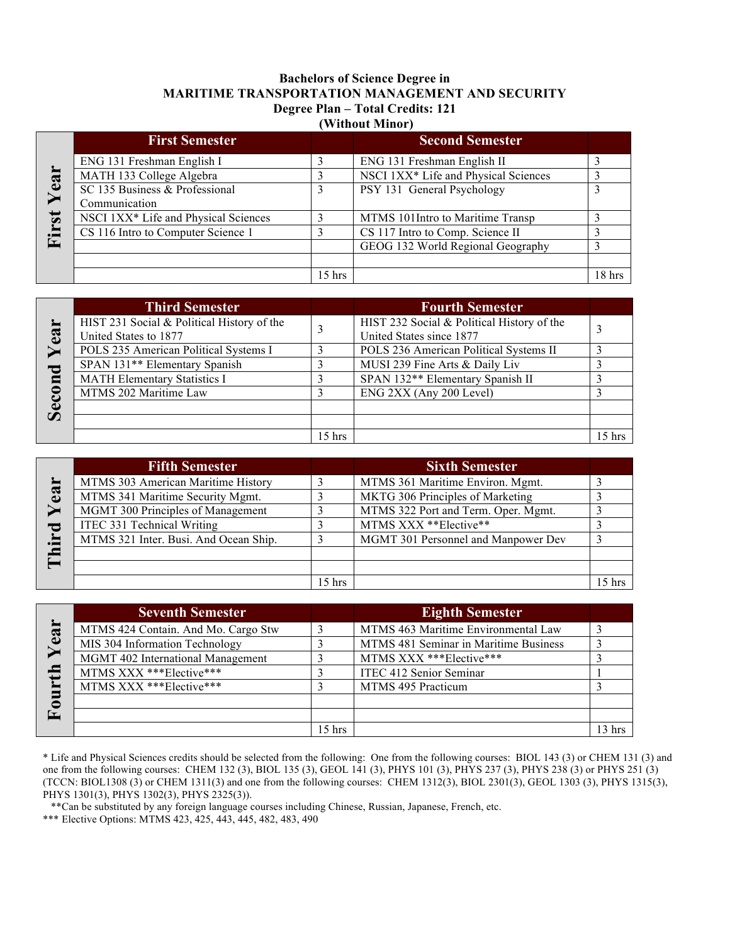### **Bachelors of Science Degree in MARITIME TRANSPORTATION MANAGEMENT AND SECURITY Degree Plan – Total Credits: 121 (Without Minor)**

|       | <b>First Semester</b>                |          | <b>Second Semester</b>               |        |
|-------|--------------------------------------|----------|--------------------------------------|--------|
|       | ENG 131 Freshman English I           |          | ENG 131 Freshman English II          |        |
| Year  | MATH 133 College Algebra             |          | NSCI 1XX* Life and Physical Sciences |        |
|       | SC 135 Business & Professional       |          | PSY 131 General Psychology           | 3      |
|       | Communication                        |          |                                      |        |
|       | NSCI 1XX* Life and Physical Sciences |          | MTMS 101Intro to Maritime Transp     |        |
| First | CS 116 Intro to Computer Science 1   |          | CS 117 Intro to Comp. Science II     |        |
|       |                                      |          | GEOG 132 World Regional Geography    |        |
|       |                                      |          |                                      |        |
|       |                                      | $15$ hrs |                                      | 18 hrs |

| $\mathbf{e}$ a<br>$\mathbf{n}$<br>Š | <b>Third Semester</b>                                               |          | <b>Fourth Semester</b>                                                 |          |
|-------------------------------------|---------------------------------------------------------------------|----------|------------------------------------------------------------------------|----------|
|                                     | HIST 231 Social & Political History of the<br>United States to 1877 |          | HIST 232 Social & Political History of the<br>United States since 1877 |          |
|                                     | POLS 235 American Political Systems I                               |          | POLS 236 American Political Systems II                                 |          |
|                                     | SPAN 131** Elementary Spanish                                       |          | MUSI 239 Fine Arts & Daily Liv                                         |          |
|                                     | <b>MATH Elementary Statistics I</b>                                 |          | SPAN 132** Elementary Spanish II                                       |          |
|                                     | MTMS 202 Maritime Law                                               |          | ENG 2XX (Any 200 Level)                                                |          |
|                                     |                                                                     |          |                                                                        |          |
|                                     |                                                                     |          |                                                                        |          |
|                                     |                                                                     | $15$ hrs |                                                                        | $15$ hrs |

| ea<br>$\overline{\phantom{a}}$ | <b>Fifth Semester</b>                 |          | <b>Sixth Semester</b>               |  |
|--------------------------------|---------------------------------------|----------|-------------------------------------|--|
|                                | MTMS 303 American Maritime History    |          | MTMS 361 Maritime Environ. Mgmt.    |  |
|                                | MTMS 341 Maritime Security Mgmt.      |          | MKTG 306 Principles of Marketing    |  |
|                                | MGMT 300 Principles of Management     |          | MTMS 322 Port and Term. Oper. Mgmt. |  |
|                                | ITEC 331 Technical Writing            |          | MTMS XXX ** Elective**              |  |
| ÷.                             | MTMS 321 Inter. Busi. And Ocean Ship. |          | MGMT 301 Personnel and Manpower Dev |  |
|                                |                                       |          |                                     |  |
|                                |                                       |          |                                     |  |
|                                |                                       | $15$ hrs |                                     |  |

| ear<br>로<br>0<br>Œ. | <b>Seventh Semester</b>             |          | <b>Eighth Semester</b>                |        |
|---------------------|-------------------------------------|----------|---------------------------------------|--------|
|                     | MTMS 424 Contain. And Mo. Cargo Stw |          | MTMS 463 Maritime Environmental Law   |        |
|                     | MIS 304 Information Technology      |          | MTMS 481 Seminar in Maritime Business |        |
|                     | MGMT 402 International Management   |          | MTMS XXX *** Elective***              |        |
|                     | MTMS XXX *** Elective***            |          | ITEC 412 Senior Seminar               |        |
|                     | MTMS XXX *** Elective***            |          | MTMS 495 Practicum                    |        |
|                     |                                     |          |                                       |        |
|                     |                                     |          |                                       |        |
|                     |                                     | $15$ hrs |                                       | 13 hrs |

\* Life and Physical Sciences credits should be selected from the following: One from the following courses: BIOL 143 (3) or CHEM 131 (3) and one from the following courses: CHEM 132 (3), BIOL 135 (3), GEOL 141 (3), PHYS 101 (3), PHYS 237 (3), PHYS 238 (3) or PHYS 251 (3) (TCCN: BIOL1308 (3) or CHEM 1311(3) and one from the following courses: CHEM 1312(3), BIOL 2301(3), GEOL 1303 (3), PHYS 1315(3), PHYS 1301(3), PHYS 1302(3), PHYS 2325(3)).

\*\*Can be substituted by any foreign language courses including Chinese, Russian, Japanese, French, etc.

\*\*\* Elective Options: MTMS 423, 425, 443, 445, 482, 483, 490